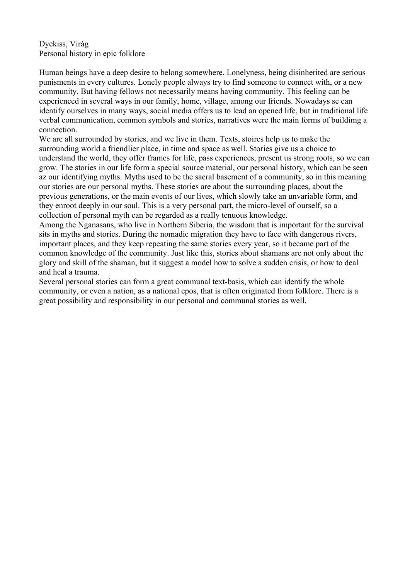Dyekiss, Virág Personal history in epic folklore

Human beings have a deep desire to belong somewhere. Lonelyness, being disinherited are serious punisments in every cultures. Lonely people always try to find someone to connect with, or a new community. But having fellows not necessarily means having community. This feeling can be experienced in several ways in our family, home, village, among our friends. Nowadays se can identify ourselves in many ways, social media offers us to lead an opened life, but in traditional life verbal communication, common symbols and stories, narratives were the main forms of buildimg a connection.

We are all surrounded by stories, and we live in them. Texts, stoires help us to make the surrounding world a friendlier place, in time and space as well. Stories give us a choice to understand the world, they offer frames for life, pass experiences, present us strong roots, so we can grow. The stories in our life form a special source material, our personal history, which can be seen az our identifying myths. Myths used to be the sacral basement of a community, so in this meaning our stories are our personal myths. These stories are about the surrounding places, about the previous generations, or the main events of our lives, which slowly take an unvariable form, and they enroot deeply in our soul. This is a very personal part, the micro-level of ourself, so a collection of personal myth can be regarded as a really tenuous knowledge.

Among the Nganasans, who live in Northern Siberia, the wisdom that is important for the survival sits in myths and stories. During the nomadic migration they have to face with dangerous rivers, important places, and they keep repeating the same stories every year, so it became part of the common knowledge of the community. Just like this, stories about shamans are not only about the glory and skill of the shaman, but it suggest a model how to solve a sudden crisis, or how to deal and heal a trauma.

Several personal stories can form a great communal text-basis, which can identify the whole community, or even a nation, as a national epos, that is often originated from folklore. There is a great possibility and responsibility in our personal and communal stories as well.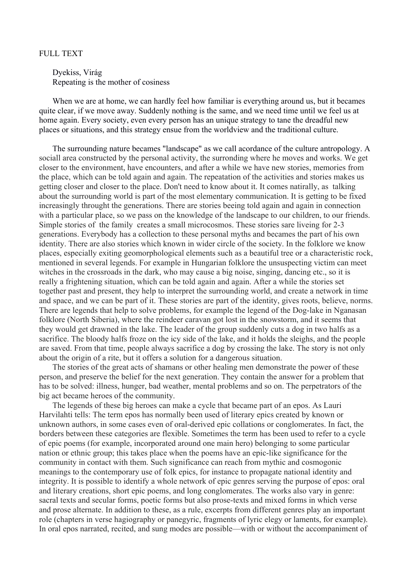## FULL TEXT

Dyekiss, Virág Repeating is the mother of cosiness

When we are at home, we can hardly feel how familiar is everything around us, but it becames quite clear, if we move away. Suddenly nothing is the same, and we need time until we feel us at home again. Every society, even every person has an unique strategy to tane the dreadful new places or situations, and this strategy ensue from the worldview and the traditional culture.

The surrounding nature becames "landscape" as we call acordance of the culture antropology. A sociall area constructed by the personal activity, the surronding where he moves and works. We get closer to the environment, have encounters, and after a while we have new stories, memories from the place, which can be told again and again. The repeatation of the activities and stories makes us getting closer and closer to the place. Don't need to know about it. It comes natirally, as talking about the surrounding world is part of the most elementary communication. It is getting to be fixed increasingly throught the generations. There are stories beeing told again and again in connection with a particular place, so we pass on the knowledge of the landscape to our children, to our friends. Simple stories of the family creates a small microcosmos. These stories sare liveing for 2-3 generations. Everybody has a collection to these personal myths and becames the part of his own identity. There are also stories which known in wider circle of the society. In the folklore we know places, especially exiting geomorphological elements such as a beautiful tree or a characteristic rock, mentioned in several legends. For example in Hungarian folklore the unsuspecting victim can meet witches in the crossroads in the dark, who may cause a big noise, singing, dancing etc., so it is really a frightening situation, which can be told again and again. After a while the stories set together past and present, they help to interpret the surrounding world, and create a network in time and space, and we can be part of it. These stories are part of the identity, gives roots, believe, norms. There are legends that help to solve problems, for example the legend of the Dog-lake in Nganasan folklore (North Siberia), where the reindeer caravan got lost in the snowstorm, and it seems that they would get drawned in the lake. The leader of the group suddenly cuts a dog in two halfs as a sacrifice. The bloody halfs froze on the icy side of the lake, and it holds the sleighs, and the people are saved. From that time, people always sacrifice a dog by crossing the lake. The story is not only about the origin of a rite, but it offers a solution for a dangerous situation.

The stories of the great acts of shamans or other healing men demonstrate the power of these person, and preserve the belief for the next generation. They contain the answer for a problem that has to be solved: illness, hunger, bad weather, mental problems and so on. The perpetrators of the big act became heroes of the community.

The legends of these big heroes can make a cycle that became part of an epos. As Lauri Harvilahti tells: The term epos has normally been used of literary epics created by known or unknown authors, in some cases even of oral-derived epic collations or conglomerates. In fact, the borders between these categories are flexible. Sometimes the term has been used to refer to a cycle of epic poems (for example, incorporated around one main hero) belonging to some particular nation or ethnic group; this takes place when the poems have an epic-like significance for the community in contact with them. Such significance can reach from mythic and cosmogonic meanings to the contemporary use of folk epics, for instance to propagate national identity and integrity. It is possible to identify a whole network of epic genres serving the purpose of epos: oral and literary creations, short epic poems, and long conglomerates. The works also vary in genre: sacral texts and secular forms, poetic forms but also prose-texts and mixed forms in which verse and prose alternate. In addition to these, as a rule, excerpts from different genres play an important role (chapters in verse hagiography or panegyric, fragments of lyric elegy or laments, for example). In oral epos narrated, recited, and sung modes are possible—with or without the accompaniment of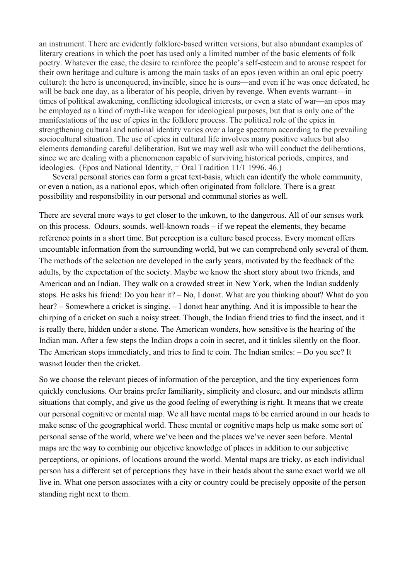an instrument. There are evidently folklore-based written versions, but also abundant examples of literary creations in which the poet has used only a limited number of the basic elements of folk poetry. Whatever the case, the desire to reinforce the people's self-esteem and to arouse respect for their own heritage and culture is among the main tasks of an epos (even within an oral epic poetry culture): the hero is unconquered, invincible, since he is ours—and even if he was once defeated, he will be back one day, as a liberator of his people, driven by revenge. When events warrant—in times of political awakening, conflicting ideological interests, or even a state of war—an epos may be employed as a kind of myth-like weapon for ideological purposes, but that is only one of the manifestations of the use of epics in the folklore process. The political role of the epics in strengthening cultural and national identity varies over a large spectrum according to the prevailing sociocultural situation. The use of epics in cultural life involves many positive values but also elements demanding careful deliberation. But we may well ask who will conduct the deliberations, since we are dealing with a phenomenon capable of surviving historical periods, empires, and ideologies. (Epos and National Identity,  $=$  Oral Tradition 11/1 1996. 46.)

Several personal stories can form a great text-basis, which can identify the whole community, or even a nation, as a national epos, which often originated from folklore. There is a great possibility and responsibility in our personal and communal stories as well.

There are several more ways to get closer to the unkown, to the dangerous. All of our senses work on this process. Odours, sounds, well-known roads – if we repeat the elements, they became reference points in a short time. But perception is a culture based process. Every moment offers uncountable information from the surrounding world, but we can comprehend only several of them. The methods of the selection are developed in the early years, motivated by the feedback of the adults, by the expectation of the society. Maybe we know the short story about two friends, and American and an Indian. They walk on a crowded street in New York, when the Indian suddenly stops. He asks his friend: Do you hear it? – No, I don«t. What are you thinking about? What do you hear? – Somewhere a cricket is singing. – I don«t hear anything. And it is impossible to hear the chirping of a cricket on such a noisy street. Though, the Indian friend tries to find the insect, and it is really there, hidden under a stone. The American wonders, how sensitive is the hearing of the Indian man. After a few steps the Indian drops a coin in secret, and it tinkles silently on the floor. The American stops immediately, and tries to find te coin. The Indian smiles: – Do you see? It wasn«t louder then the cricket.

So we choose the relevant pieces of information of the perception, and the tiny experiences form quickly conclusions. Our brains prefer familiarity, simplicity and closure, and our mindsets affirm situations that comply, and give us the good feeling of ewerything is right. It means that we create our personal cognitive or mental map. We all have mental maps tó be carried around in our heads to make sense of the geographical world. These mental or cognitive maps help us make some sort of personal sense of the world, where we've been and the places we've never seen before. Mental maps are the way to combinig our objective knowledge of places in addition to our subjective perceptions, or opinions, of locations around the world. Mental maps are tricky, as each individual person has a different set of perceptions they have in their heads about the same exact world we all live in. What one person associates with a city or country could be precisely opposite of the person standing right next to them.